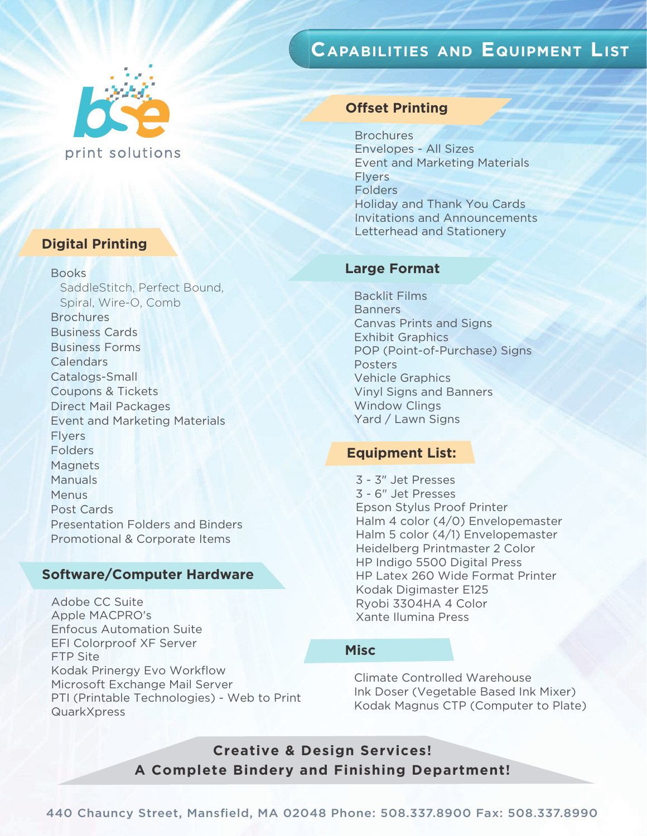# **CAPABILITIES AND EQUIPMENT LIST**



# **Digital Printing**

Books

 SaddleStitch, Perfect Bound, Spiral, Wire-O, Comb **Brochures**  Business Cards Business Forms **Calendars**  Catalogs-Small Coupons & Tickets Direct Mail Packages Event and Marketing Materials Flyers Folders Magnets Manuals **Menus**  Post Cards Presentation Folders and Binders Promotional & Corporate Items

## **Software/Computer Hardware**

Adobe CC Suite Apple MACPRO's Enfocus Automation Suite EFI Colorproof XF Server FTP Site Kodak Prinergy Evo Workflow Microsoft Exchange Mail Server PTI (Printable Technologies) - Web to Print **QuarkXpress** 

## **Offset Printing**

**Brochures** Envelopes - All Sizes Event and Marketing Materials Flyers **Folders** Holiday and Thank You Cards Invitations and Announcements Letterhead and Stationery

### **Large Format**

Backlit Films **Banners** Canvas Prints and Signs Exhibit Graphics POP (Point-of-Purchase) Signs Posters Vehicle Graphics Vinyl Signs and Banners Window Clings Yard / Lawn Signs

## **Equipment List:**

3 - 3" Jet Presses 3 - 6" Jet Presses Epson Stylus Proof Printer Halm 4 color (4/0) Envelopemaster Halm 5 color (4/1) Envelopemaster Heidelberg Printmaster 2 Color HP Indigo 5500 Digital Press HP Latex 260 Wide Format Printer Kodak Digimaster E125 Ryobi 3304HA 4 Color Xante Ilumina Press

## **Misc**

Climate Controlled Warehouse Ink Doser (Vegetable Based Ink Mixer) Kodak Magnus CTP (Computer to Plate)

**Creative & Design Services! A Complete Bindery and Finishing Department!**